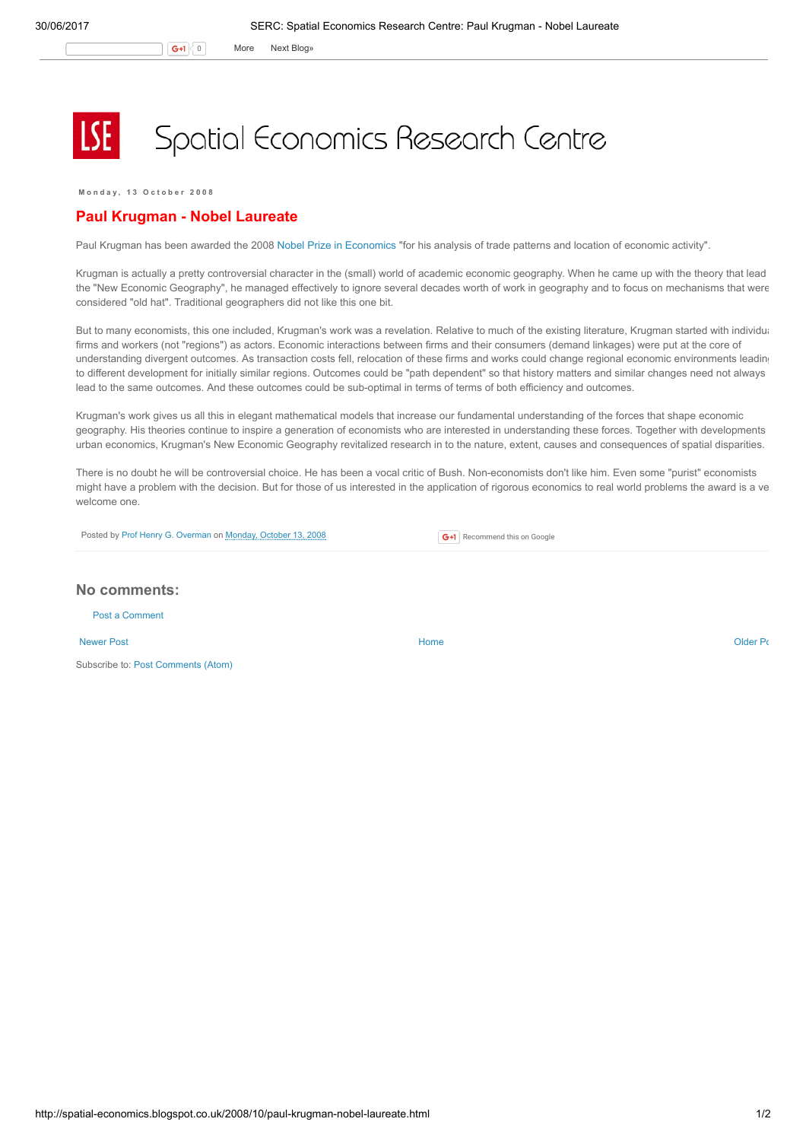G+1 0 More Next [Blog»](https://www.blogger.com/next-blog?navBar=true&blogID=974562301377041914)

## Spatial Economics Research Centre

Monday, 13 October 2008

## Paul Krugman - Nobel Laureate

Paul Krugman has been awarded the 2008 Nobel Prize in [Economics](http://nobelprize.org/nobel_prizes/economics/) "for his analysis of trade patterns and location of economic activity".

Krugman is actually a pretty controversial character in the (small) world of academic economic geography. When he came up with the theory that lead the "New Economic Geography", he managed effectively to ignore several decades worth of work in geography and to focus on mechanisms that were considered "old hat". Traditional geographers did not like this one bit.

But to many economists, this one included, Krugman's work was a revelation. Relative to much of the existing literature, Krugman started with individual firms and workers (not "regions") as actors. Economic interactions between firms and their consumers (demand linkages) were put at the core of understanding divergent outcomes. As transaction costs fell, relocation of these firms and works could change regional economic environments leading to different development for initially similar regions. Outcomes could be "path dependent" so that history matters and similar changes need not always lead to the same outcomes. And these outcomes could be sub-optimal in terms of terms of both efficiency and outcomes.

Krugman's work gives us all this in elegant mathematical models that increase our fundamental understanding of the forces that shape economic geography. His theories continue to inspire a generation of economists who are interested in understanding these forces. Together with developments in urban economics, Krugman's New Economic Geography revitalized research in to the nature, extent, causes and consequences of spatial disparities.

There is no doubt he will be controversial choice. He has been a vocal critic of Bush. Non-economists don't like him. Even some "purist" economists might have a problem with the decision. But for those of us interested in the application of rigorous economics to real world problems the award is a ve welcome one.

Posted by Prof Henry G. [Overman](https://www.blogger.com/profile/15203876610491317062) on [Monday,](http://spatial-economics.blogspot.co.uk/2008/10/paul-krugman-nobel-laureate.html) October 13, 2008

**G+1** Recommend this on Google

## No comments:

Post a [Comment](https://www.blogger.com/comment.g?blogID=974562301377041914&postID=7885928172556893496)

[Newer](http://spatial-economics.blogspot.co.uk/2008/10/geography-of-recession.html) Post **New Account Contract Account Contract Account Contract Account Contract Account Contract [Older](http://spatial-economics.blogspot.co.uk/2008/09/does-banning-big-boxes-help-independent.html) Post** 

Subscribe to: Post [Comments](http://spatial-economics.blogspot.com/feeds/7885928172556893496/comments/default) (Atom)